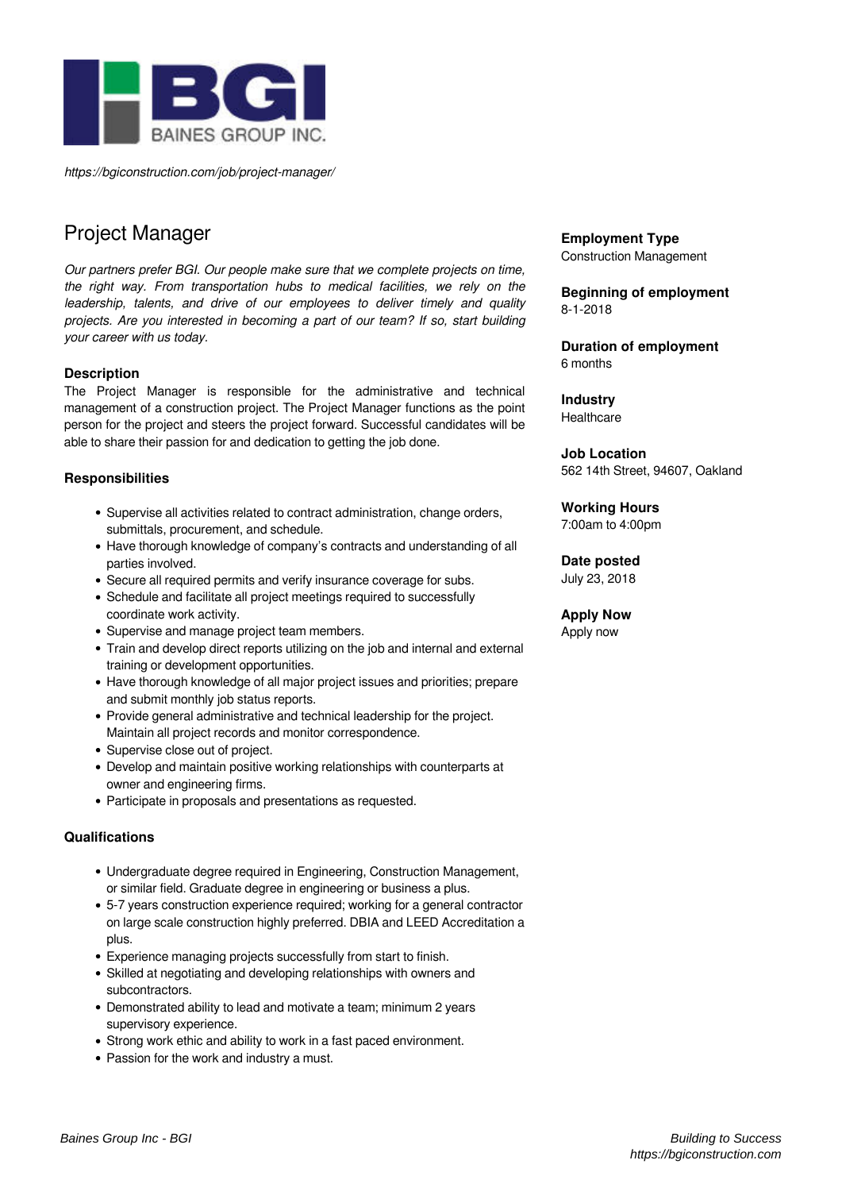

*https://bgiconstruction.com/job/project-manager/*

# Project Manager

*Our partners prefer BGI. Our people make sure that we complete projects on time, the right way. From transportation hubs to medical facilities, we rely on the leadership, talents, and drive of our employees to deliver timely and quality projects. Are you interested in becoming a part of our team? If so, start building your career with us today.*

### **Description**

The Project Manager is responsible for the administrative and technical management of a construction project. The Project Manager functions as the point person for the project and steers the project forward. Successful candidates will be able to share their passion for and dedication to getting the job done.

## **Responsibilities**

- Supervise all activities related to contract administration, change orders, submittals, procurement, and schedule.
- Have thorough knowledge of company's contracts and understanding of all parties involved.
- Secure all required permits and verify insurance coverage for subs.
- Schedule and facilitate all project meetings required to successfully coordinate work activity.
- Supervise and manage project team members.
- Train and develop direct reports utilizing on the job and internal and external training or development opportunities.
- Have thorough knowledge of all major project issues and priorities; prepare and submit monthly job status reports.
- Provide general administrative and technical leadership for the project. Maintain all project records and monitor correspondence.
- Supervise close out of project.
- Develop and maintain positive working relationships with counterparts at owner and engineering firms.
- Participate in proposals and presentations as requested.

### **Qualifications**

- Undergraduate degree required in Engineering, Construction Management, or similar field. Graduate degree in engineering or business a plus.
- 5-7 years construction experience required; working for a general contractor on large scale construction highly preferred. DBIA and LEED Accreditation a plus.
- Experience managing projects successfully from start to finish.
- Skilled at negotiating and developing relationships with owners and subcontractors.
- Demonstrated ability to lead and motivate a team; minimum 2 years supervisory experience.
- Strong work ethic and ability to work in a fast paced environment.
- Passion for the work and industry a must.

#### **Employment Type** Construction Management

**Beginning of employment**

8-1-2018

**Duration of employment** 6 months

**Industry Healthcare** 

**Job Location** 562 14th Street, 94607, Oakland

**Working Hours**

7:00am to 4:00pm

## **Date posted**

July 23, 2018

## **Apply Now**

Apply now